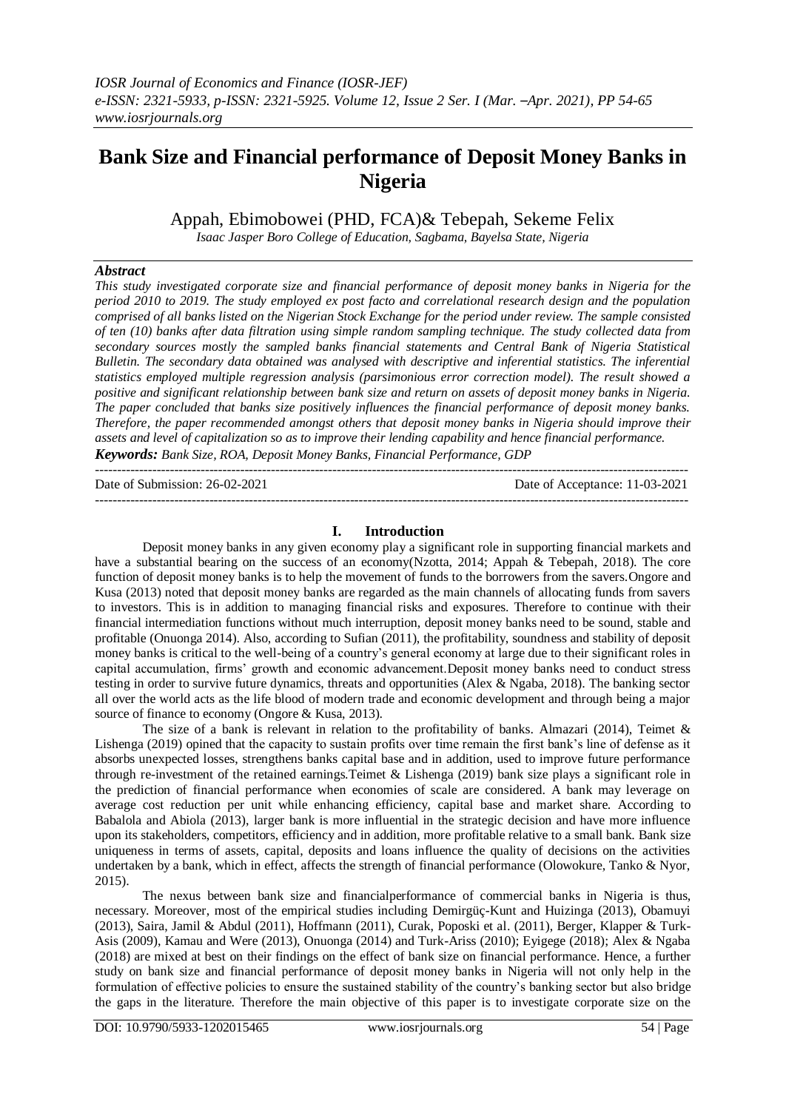# **Bank Size and Financial performance of Deposit Money Banks in Nigeria**

Appah, Ebimobowei (PHD, FCA)& Tebepah, Sekeme Felix

*Isaac Jasper Boro College of Education, Sagbama, Bayelsa State, Nigeria*

## *Abstract*

*This study investigated corporate size and financial performance of deposit money banks in Nigeria for the period 2010 to 2019. The study employed ex post facto and correlational research design and the population comprised of all banks listed on the Nigerian Stock Exchange for the period under review. The sample consisted of ten (10) banks after data filtration using simple random sampling technique. The study collected data from secondary sources mostly the sampled banks financial statements and Central Bank of Nigeria Statistical Bulletin. The secondary data obtained was analysed with descriptive and inferential statistics. The inferential statistics employed multiple regression analysis (parsimonious error correction model). The result showed a positive and significant relationship between bank size and return on assets of deposit money banks in Nigeria. The paper concluded that banks size positively influences the financial performance of deposit money banks. Therefore, the paper recommended amongst others that deposit money banks in Nigeria should improve their assets and level of capitalization so as to improve their lending capability and hence financial performance. Keywords: Bank Size, ROA, Deposit Money Banks, Financial Performance, GDP*

Date of Submission: 26-02-2021 Date of Acceptance: 11-03-2021

## **I. Introduction**

---------------------------------------------------------------------------------------------------------------------------------------

---------------------------------------------------------------------------------------------------------------------------------------

Deposit money banks in any given economy play a significant role in supporting financial markets and have a substantial bearing on the success of an economy(Nzotta, 2014; Appah & Tebepah, 2018). The core function of deposit money banks is to help the movement of funds to the borrowers from the savers.Ongore and Kusa (2013) noted that deposit money banks are regarded as the main channels of allocating funds from savers to investors. This is in addition to managing financial risks and exposures. Therefore to continue with their financial intermediation functions without much interruption, deposit money banks need to be sound, stable and profitable (Onuonga 2014). Also, according to Sufian (2011), the profitability, soundness and stability of deposit money banks is critical to the well-being of a country's general economy at large due to their significant roles in capital accumulation, firms' growth and economic advancement.Deposit money banks need to conduct stress testing in order to survive future dynamics, threats and opportunities (Alex & Ngaba, 2018). The banking sector all over the world acts as the life blood of modern trade and economic development and through being a major source of finance to economy (Ongore & Kusa, 2013).

The size of a bank is relevant in relation to the profitability of banks. Almazari (2014), Teimet  $\&$ Lishenga (2019) opined that the capacity to sustain profits over time remain the first bank's line of defense as it absorbs unexpected losses, strengthens banks capital base and in addition, used to improve future performance through re-investment of the retained earnings.Teimet & Lishenga (2019) bank size plays a significant role in the prediction of financial performance when economies of scale are considered. A bank may leverage on average cost reduction per unit while enhancing efficiency, capital base and market share. According to Babalola and Abiola (2013), larger bank is more influential in the strategic decision and have more influence upon its stakeholders, competitors, efficiency and in addition, more profitable relative to a small bank. Bank size uniqueness in terms of assets, capital, deposits and loans influence the quality of decisions on the activities undertaken by a bank, which in effect, affects the strength of financial performance (Olowokure, Tanko & Nyor, 2015).

The nexus between bank size and financialperformance of commercial banks in Nigeria is thus, necessary. Moreover, most of the empirical studies including Demirgüç-Kunt and Huizinga (2013), Obamuyi (2013), Saira, Jamil & Abdul (2011), Hoffmann (2011), Curak, Poposki et al. (2011), Berger, Klapper & Turk-Asis (2009), Kamau and Were (2013), Onuonga (2014) and Turk-Ariss (2010); Eyigege (2018); Alex & Ngaba (2018) are mixed at best on their findings on the effect of bank size on financial performance. Hence, a further study on bank size and financial performance of deposit money banks in Nigeria will not only help in the formulation of effective policies to ensure the sustained stability of the country's banking sector but also bridge the gaps in the literature. Therefore the main objective of this paper is to investigate corporate size on the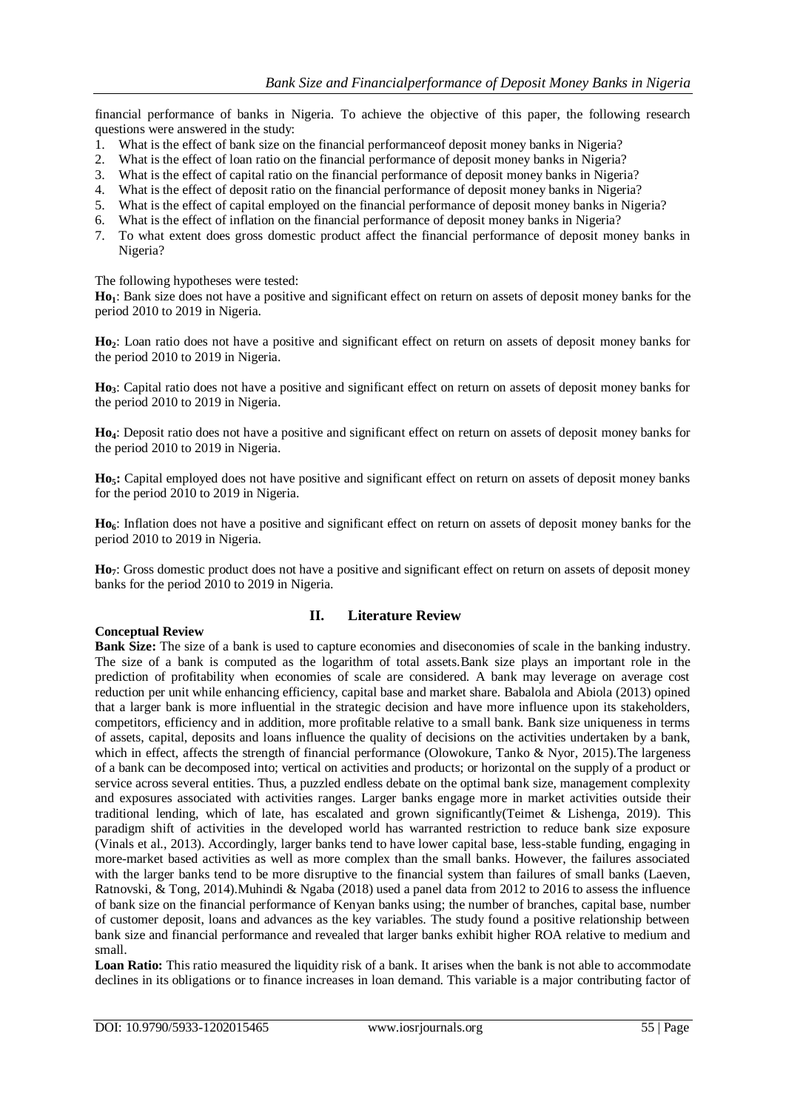financial performance of banks in Nigeria. To achieve the objective of this paper, the following research questions were answered in the study:

- 1. What is the effect of bank size on the financial performanceof deposit money banks in Nigeria?
- 2. What is the effect of loan ratio on the financial performance of deposit money banks in Nigeria?
- 3. What is the effect of capital ratio on the financial performance of deposit money banks in Nigeria?
- 4. What is the effect of deposit ratio on the financial performance of deposit money banks in Nigeria?
- 5. What is the effect of capital employed on the financial performance of deposit money banks in Nigeria?
- 6. What is the effect of inflation on the financial performance of deposit money banks in Nigeria?
- 7. To what extent does gross domestic product affect the financial performance of deposit money banks in Nigeria?

The following hypotheses were tested:

**Ho1**: Bank size does not have a positive and significant effect on return on assets of deposit money banks for the period 2010 to 2019 in Nigeria.

**Ho2**: Loan ratio does not have a positive and significant effect on return on assets of deposit money banks for the period 2010 to 2019 in Nigeria.

**Ho3**: Capital ratio does not have a positive and significant effect on return on assets of deposit money banks for the period 2010 to 2019 in Nigeria.

**Ho4**: Deposit ratio does not have a positive and significant effect on return on assets of deposit money banks for the period 2010 to 2019 in Nigeria.

**Ho5:** Capital employed does not have positive and significant effect on return on assets of deposit money banks for the period 2010 to 2019 in Nigeria.

**Ho6**: Inflation does not have a positive and significant effect on return on assets of deposit money banks for the period 2010 to 2019 in Nigeria.

**Ho7**: Gross domestic product does not have a positive and significant effect on return on assets of deposit money banks for the period 2010 to 2019 in Nigeria.

## **Conceptual Review**

## **II. Literature Review**

**Bank Size:** The size of a bank is used to capture economies and diseconomies of scale in the banking industry. The size of a bank is computed as the logarithm of total assets.Bank size plays an important role in the prediction of profitability when economies of scale are considered. A bank may leverage on average cost reduction per unit while enhancing efficiency, capital base and market share. Babalola and Abiola (2013) opined that a larger bank is more influential in the strategic decision and have more influence upon its stakeholders, competitors, efficiency and in addition, more profitable relative to a small bank. Bank size uniqueness in terms of assets, capital, deposits and loans influence the quality of decisions on the activities undertaken by a bank, which in effect, affects the strength of financial performance (Olowokure, Tanko & Nyor, 2015). The largeness of a bank can be decomposed into; vertical on activities and products; or horizontal on the supply of a product or service across several entities. Thus, a puzzled endless debate on the optimal bank size, management complexity and exposures associated with activities ranges. Larger banks engage more in market activities outside their traditional lending, which of late, has escalated and grown significantly(Teimet & Lishenga, 2019). This paradigm shift of activities in the developed world has warranted restriction to reduce bank size exposure (Vinals et al., 2013). Accordingly, larger banks tend to have lower capital base, less-stable funding, engaging in more-market based activities as well as more complex than the small banks. However, the failures associated with the larger banks tend to be more disruptive to the financial system than failures of small banks (Laeven, Ratnovski, & Tong, 2014).Muhindi & Ngaba (2018) used a panel data from 2012 to 2016 to assess the influence of bank size on the financial performance of Kenyan banks using; the number of branches, capital base, number of customer deposit, loans and advances as the key variables. The study found a positive relationship between bank size and financial performance and revealed that larger banks exhibit higher ROA relative to medium and small.

**Loan Ratio:** This ratio measured the liquidity risk of a bank. It arises when the bank is not able to accommodate declines in its obligations or to finance increases in loan demand. This variable is a major contributing factor of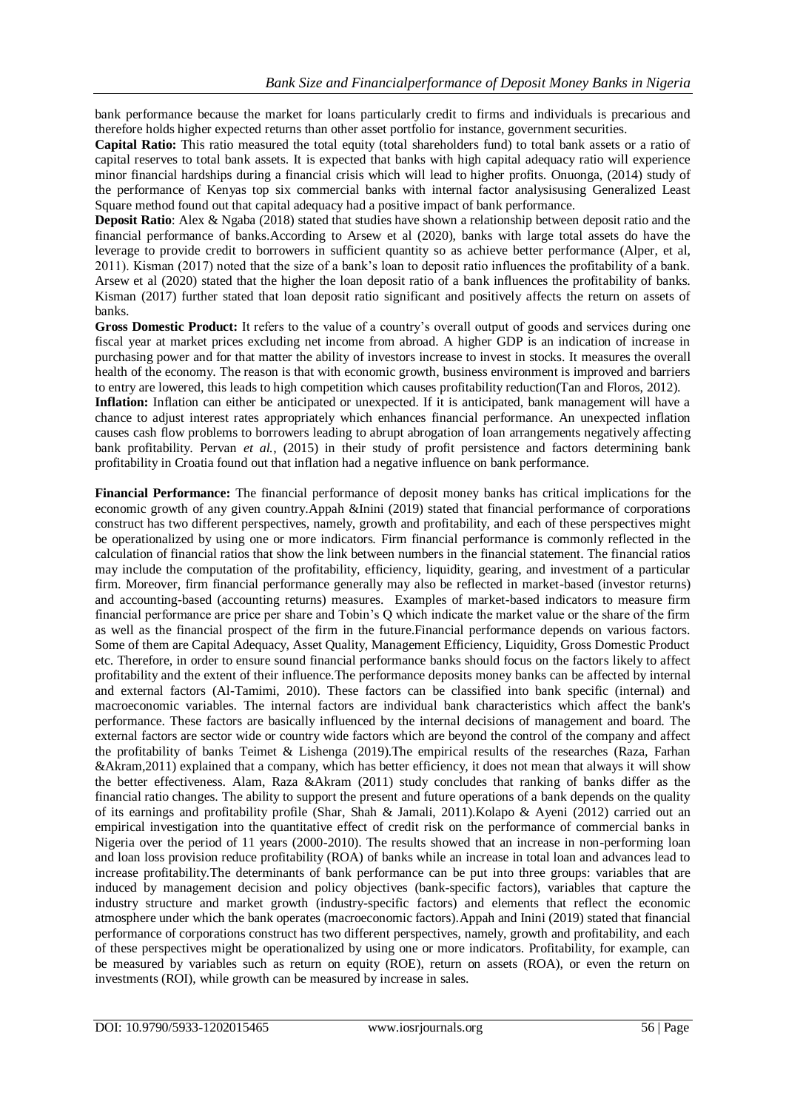bank performance because the market for loans particularly credit to firms and individuals is precarious and therefore holds higher expected returns than other asset portfolio for instance, government securities.

**Capital Ratio:** This ratio measured the total equity (total shareholders fund) to total bank assets or a ratio of capital reserves to total bank assets. It is expected that banks with high capital adequacy ratio will experience minor financial hardships during a financial crisis which will lead to higher profits. Onuonga, (2014) study of the performance of Kenyas top six commercial banks with internal factor analysisusing Generalized Least Square method found out that capital adequacy had a positive impact of bank performance.

**Deposit Ratio**: Alex & Ngaba (2018) stated that studies have shown a relationship between deposit ratio and the financial performance of banks.According to Arsew et al (2020), banks with large total assets do have the leverage to provide credit to borrowers in sufficient quantity so as achieve better performance (Alper, et al, 2011). Kisman (2017) noted that the size of a bank's loan to deposit ratio influences the profitability of a bank. Arsew et al (2020) stated that the higher the loan deposit ratio of a bank influences the profitability of banks. Kisman (2017) further stated that loan deposit ratio significant and positively affects the return on assets of banks.

**Gross Domestic Product:** It refers to the value of a country's overall output of goods and services during one fiscal year at market prices excluding net income from abroad. A higher GDP is an indication of increase in purchasing power and for that matter the ability of investors increase to invest in stocks. It measures the overall health of the economy. The reason is that with economic growth, business environment is improved and barriers to entry are lowered, this leads to high competition which causes profitability reduction(Tan and Floros, 2012).

**Inflation:** Inflation can either be anticipated or unexpected. If it is anticipated, bank management will have a chance to adjust interest rates appropriately which enhances financial performance. An unexpected inflation causes cash flow problems to borrowers leading to abrupt abrogation of loan arrangements negatively affecting bank profitability. Pervan *et al.*, (2015) in their study of profit persistence and factors determining bank profitability in Croatia found out that inflation had a negative influence on bank performance.

**Financial Performance:** The financial performance of deposit money banks has critical implications for the economic growth of any given country.Appah &Inini (2019) stated that financial performance of corporations construct has two different perspectives, namely, growth and profitability, and each of these perspectives might be operationalized by using one or more indicators. Firm financial performance is commonly reflected in the calculation of financial ratios that show the link between numbers in the financial statement. The financial ratios may include the computation of the profitability, efficiency, liquidity, gearing, and investment of a particular firm. Moreover, firm financial performance generally may also be reflected in market-based (investor returns) and accounting-based (accounting returns) measures. Examples of market-based indicators to measure firm financial performance are price per share and Tobin's Q which indicate the market value or the share of the firm as well as the financial prospect of the firm in the future.Financial performance depends on various factors. Some of them are Capital Adequacy, Asset Quality, Management Efficiency, Liquidity, Gross Domestic Product etc. Therefore, in order to ensure sound financial performance banks should focus on the factors likely to affect profitability and the extent of their influence.The performance deposits money banks can be affected by internal and external factors (Al-Tamimi, 2010). These factors can be classified into bank specific (internal) and macroeconomic variables. The internal factors are individual bank characteristics which affect the bank's performance. These factors are basically influenced by the internal decisions of management and board. The external factors are sector wide or country wide factors which are beyond the control of the company and affect the profitability of banks Teimet & Lishenga (2019).The empirical results of the researches (Raza, Farhan &Akram,2011) explained that a company, which has better efficiency, it does not mean that always it will show the better effectiveness. Alam, Raza &Akram (2011) study concludes that ranking of banks differ as the financial ratio changes. The ability to support the present and future operations of a bank depends on the quality of its earnings and profitability profile (Shar, Shah & Jamali, 2011).Kolapo & Ayeni (2012) carried out an empirical investigation into the quantitative effect of credit risk on the performance of commercial banks in Nigeria over the period of 11 years (2000-2010). The results showed that an increase in non-performing loan and loan loss provision reduce profitability (ROA) of banks while an increase in total loan and advances lead to increase profitability.The determinants of bank performance can be put into three groups: variables that are induced by management decision and policy objectives (bank-specific factors), variables that capture the industry structure and market growth (industry-specific factors) and elements that reflect the economic atmosphere under which the bank operates (macroeconomic factors).Appah and Inini (2019) stated that financial performance of corporations construct has two different perspectives, namely, growth and profitability, and each of these perspectives might be operationalized by using one or more indicators. Profitability, for example, can be measured by variables such as return on equity (ROE), return on assets (ROA), or even the return on investments (ROI), while growth can be measured by increase in sales.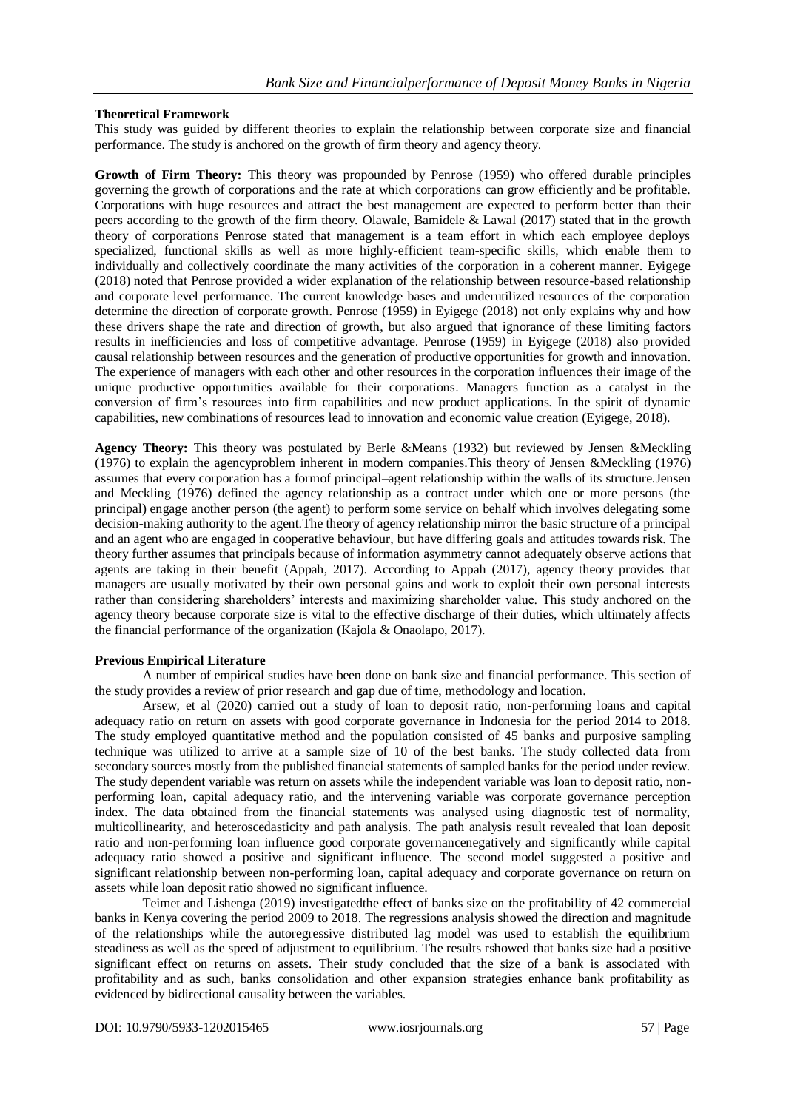## **Theoretical Framework**

This study was guided by different theories to explain the relationship between corporate size and financial performance. The study is anchored on the growth of firm theory and agency theory.

**Growth of Firm Theory:** This theory was propounded by Penrose (1959) who offered durable principles governing the growth of corporations and the rate at which corporations can grow efficiently and be profitable. Corporations with huge resources and attract the best management are expected to perform better than their peers according to the growth of the firm theory. Olawale, Bamidele & Lawal (2017) stated that in the growth theory of corporations Penrose stated that management is a team effort in which each employee deploys specialized, functional skills as well as more highly-efficient team-specific skills, which enable them to individually and collectively coordinate the many activities of the corporation in a coherent manner. Eyigege (2018) noted that Penrose provided a wider explanation of the relationship between resource-based relationship and corporate level performance. The current knowledge bases and underutilized resources of the corporation determine the direction of corporate growth. Penrose (1959) in Eyigege (2018) not only explains why and how these drivers shape the rate and direction of growth, but also argued that ignorance of these limiting factors results in inefficiencies and loss of competitive advantage. Penrose (1959) in Eyigege (2018) also provided causal relationship between resources and the generation of productive opportunities for growth and innovation. The experience of managers with each other and other resources in the corporation influences their image of the unique productive opportunities available for their corporations. Managers function as a catalyst in the conversion of firm's resources into firm capabilities and new product applications. In the spirit of dynamic capabilities, new combinations of resources lead to innovation and economic value creation (Eyigege, 2018).

**Agency Theory:** This theory was postulated by Berle &Means (1932) but reviewed by Jensen &Meckling (1976) to explain the agencyproblem inherent in modern companies.This theory of Jensen &Meckling (1976) assumes that every corporation has a formof principal–agent relationship within the walls of its structure.Jensen and Meckling (1976) defined the agency relationship as a contract under which one or more persons (the principal) engage another person (the agent) to perform some service on behalf which involves delegating some decision-making authority to the agent.The theory of agency relationship mirror the basic structure of a principal and an agent who are engaged in cooperative behaviour, but have differing goals and attitudes towards risk. The theory further assumes that principals because of information asymmetry cannot adequately observe actions that agents are taking in their benefit (Appah, 2017). According to Appah (2017), agency theory provides that managers are usually motivated by their own personal gains and work to exploit their own personal interests rather than considering shareholders' interests and maximizing shareholder value. This study anchored on the agency theory because corporate size is vital to the effective discharge of their duties, which ultimately affects the financial performance of the organization (Kajola & Onaolapo, 2017).

## **Previous Empirical Literature**

A number of empirical studies have been done on bank size and financial performance. This section of the study provides a review of prior research and gap due of time, methodology and location.

Arsew, et al (2020) carried out a study of loan to deposit ratio, non-performing loans and capital adequacy ratio on return on assets with good corporate governance in Indonesia for the period 2014 to 2018. The study employed quantitative method and the population consisted of 45 banks and purposive sampling technique was utilized to arrive at a sample size of 10 of the best banks. The study collected data from secondary sources mostly from the published financial statements of sampled banks for the period under review. The study dependent variable was return on assets while the independent variable was loan to deposit ratio, nonperforming loan, capital adequacy ratio, and the intervening variable was corporate governance perception index. The data obtained from the financial statements was analysed using diagnostic test of normality, multicollinearity, and heteroscedasticity and path analysis. The path analysis result revealed that loan deposit ratio and non-performing loan influence good corporate governancenegatively and significantly while capital adequacy ratio showed a positive and significant influence. The second model suggested a positive and significant relationship between non-performing loan, capital adequacy and corporate governance on return on assets while loan deposit ratio showed no significant influence.

Teimet and Lishenga (2019) investigatedthe effect of banks size on the profitability of 42 commercial banks in Kenya covering the period 2009 to 2018. The regressions analysis showed the direction and magnitude of the relationships while the autoregressive distributed lag model was used to establish the equilibrium steadiness as well as the speed of adjustment to equilibrium. The results rshowed that banks size had a positive significant effect on returns on assets. Their study concluded that the size of a bank is associated with profitability and as such, banks consolidation and other expansion strategies enhance bank profitability as evidenced by bidirectional causality between the variables.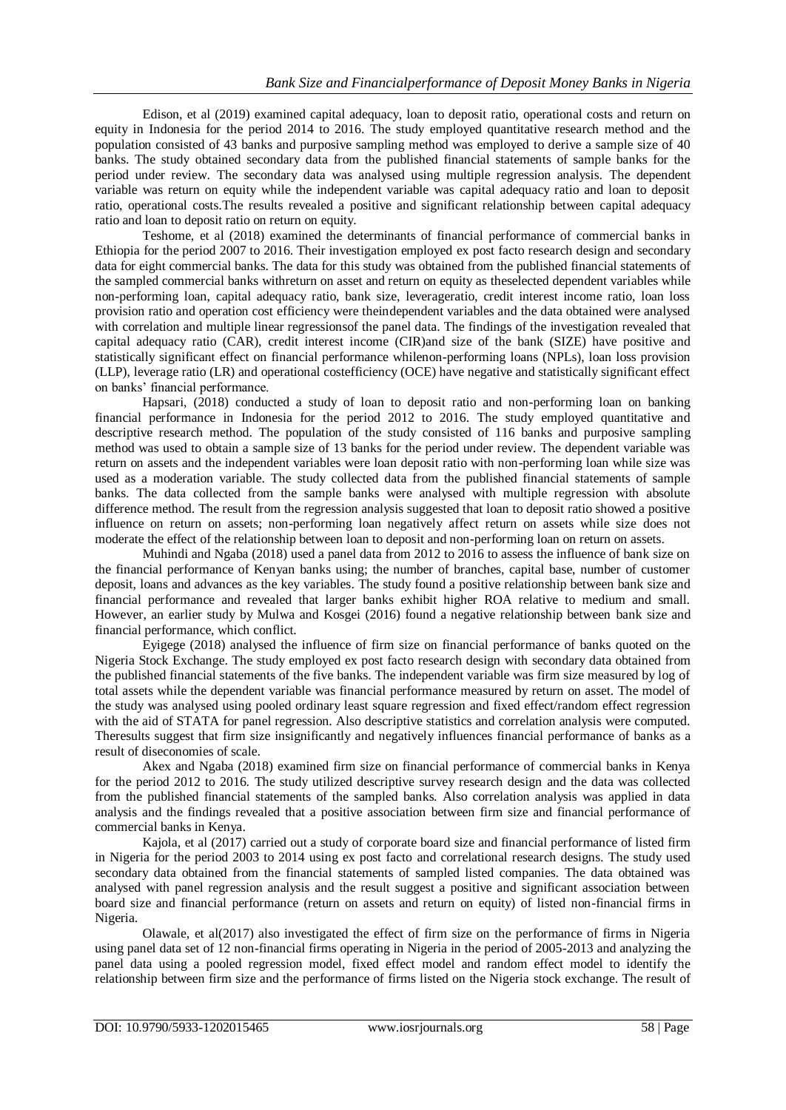Edison, et al (2019) examined capital adequacy, loan to deposit ratio, operational costs and return on equity in Indonesia for the period 2014 to 2016. The study employed quantitative research method and the population consisted of 43 banks and purposive sampling method was employed to derive a sample size of 40 banks. The study obtained secondary data from the published financial statements of sample banks for the period under review. The secondary data was analysed using multiple regression analysis. The dependent variable was return on equity while the independent variable was capital adequacy ratio and loan to deposit ratio, operational costs.The results revealed a positive and significant relationship between capital adequacy ratio and loan to deposit ratio on return on equity.

Teshome, et al (2018) examined the determinants of financial performance of commercial banks in Ethiopia for the period 2007 to 2016. Their investigation employed ex post facto research design and secondary data for eight commercial banks. The data for this study was obtained from the published financial statements of the sampled commercial banks withreturn on asset and return on equity as theselected dependent variables while non-performing loan, capital adequacy ratio, bank size, leverageratio, credit interest income ratio, loan loss provision ratio and operation cost efficiency were theindependent variables and the data obtained were analysed with correlation and multiple linear regressionsof the panel data. The findings of the investigation revealed that capital adequacy ratio (CAR), credit interest income (CIR)and size of the bank (SIZE) have positive and statistically significant effect on financial performance whilenon-performing loans (NPLs), loan loss provision (LLP), leverage ratio (LR) and operational costefficiency (OCE) have negative and statistically significant effect on banks' financial performance.

Hapsari, (2018) conducted a study of loan to deposit ratio and non-performing loan on banking financial performance in Indonesia for the period 2012 to 2016. The study employed quantitative and descriptive research method. The population of the study consisted of 116 banks and purposive sampling method was used to obtain a sample size of 13 banks for the period under review. The dependent variable was return on assets and the independent variables were loan deposit ratio with non-performing loan while size was used as a moderation variable. The study collected data from the published financial statements of sample banks. The data collected from the sample banks were analysed with multiple regression with absolute difference method. The result from the regression analysis suggested that loan to deposit ratio showed a positive influence on return on assets; non-performing loan negatively affect return on assets while size does not moderate the effect of the relationship between loan to deposit and non-performing loan on return on assets.

Muhindi and Ngaba (2018) used a panel data from 2012 to 2016 to assess the influence of bank size on the financial performance of Kenyan banks using; the number of branches, capital base, number of customer deposit, loans and advances as the key variables. The study found a positive relationship between bank size and financial performance and revealed that larger banks exhibit higher ROA relative to medium and small. However, an earlier study by Mulwa and Kosgei (2016) found a negative relationship between bank size and financial performance, which conflict.

Eyigege (2018) analysed the influence of firm size on financial performance of banks quoted on the Nigeria Stock Exchange. The study employed ex post facto research design with secondary data obtained from the published financial statements of the five banks. The independent variable was firm size measured by log of total assets while the dependent variable was financial performance measured by return on asset. The model of the study was analysed using pooled ordinary least square regression and fixed effect/random effect regression with the aid of STATA for panel regression. Also descriptive statistics and correlation analysis were computed. Theresults suggest that firm size insignificantly and negatively influences financial performance of banks as a result of diseconomies of scale.

Akex and Ngaba (2018) examined firm size on financial performance of commercial banks in Kenya for the period 2012 to 2016. The study utilized descriptive survey research design and the data was collected from the published financial statements of the sampled banks. Also correlation analysis was applied in data analysis and the findings revealed that a positive association between firm size and financial performance of commercial banks in Kenya.

Kajola, et al (2017) carried out a study of corporate board size and financial performance of listed firm in Nigeria for the period 2003 to 2014 using ex post facto and correlational research designs. The study used secondary data obtained from the financial statements of sampled listed companies. The data obtained was analysed with panel regression analysis and the result suggest a positive and significant association between board size and financial performance (return on assets and return on equity) of listed non-financial firms in Nigeria.

Olawale, et al(2017) also investigated the effect of firm size on the performance of firms in Nigeria using panel data set of 12 non-financial firms operating in Nigeria in the period of 2005-2013 and analyzing the panel data using a pooled regression model, fixed effect model and random effect model to identify the relationship between firm size and the performance of firms listed on the Nigeria stock exchange. The result of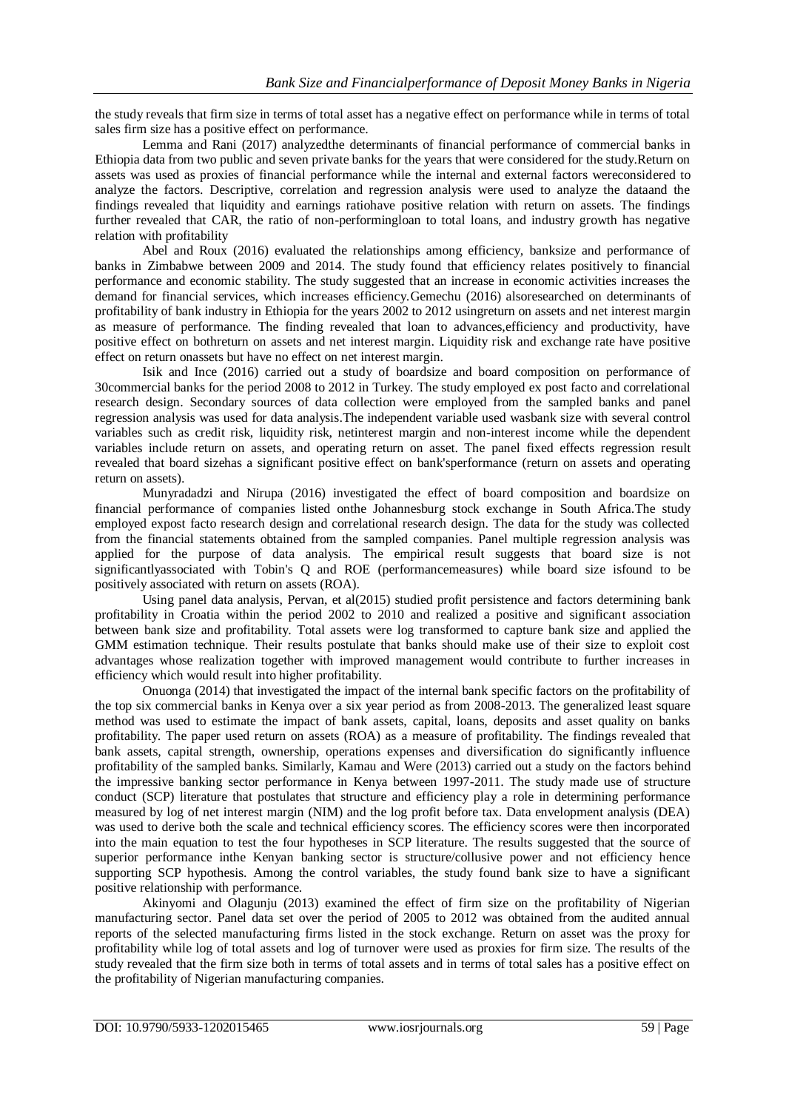the study reveals that firm size in terms of total asset has a negative effect on performance while in terms of total sales firm size has a positive effect on performance.

Lemma and Rani (2017) analyzedthe determinants of financial performance of commercial banks in Ethiopia data from two public and seven private banks for the years that were considered for the study.Return on assets was used as proxies of financial performance while the internal and external factors wereconsidered to analyze the factors. Descriptive, correlation and regression analysis were used to analyze the dataand the findings revealed that liquidity and earnings ratiohave positive relation with return on assets. The findings further revealed that CAR, the ratio of non-performingloan to total loans, and industry growth has negative relation with profitability

Abel and Roux (2016) evaluated the relationships among efficiency, banksize and performance of banks in Zimbabwe between 2009 and 2014. The study found that efficiency relates positively to financial performance and economic stability. The study suggested that an increase in economic activities increases the demand for financial services, which increases efficiency.Gemechu (2016) alsoresearched on determinants of profitability of bank industry in Ethiopia for the years 2002 to 2012 usingreturn on assets and net interest margin as measure of performance. The finding revealed that loan to advances,efficiency and productivity, have positive effect on bothreturn on assets and net interest margin. Liquidity risk and exchange rate have positive effect on return onassets but have no effect on net interest margin.

Isik and Ince (2016) carried out a study of boardsize and board composition on performance of 30commercial banks for the period 2008 to 2012 in Turkey. The study employed ex post facto and correlational research design. Secondary sources of data collection were employed from the sampled banks and panel regression analysis was used for data analysis.The independent variable used wasbank size with several control variables such as credit risk, liquidity risk, netinterest margin and non-interest income while the dependent variables include return on assets, and operating return on asset. The panel fixed effects regression result revealed that board sizehas a significant positive effect on bank'sperformance (return on assets and operating return on assets).

Munyradadzi and Nirupa (2016) investigated the effect of board composition and boardsize on financial performance of companies listed onthe Johannesburg stock exchange in South Africa.The study employed expost facto research design and correlational research design. The data for the study was collected from the financial statements obtained from the sampled companies. Panel multiple regression analysis was applied for the purpose of data analysis. The empirical result suggests that board size is not significantlyassociated with Tobin's Q and ROE (performancemeasures) while board size isfound to be positively associated with return on assets (ROA).

Using panel data analysis, Pervan, et al(2015) studied profit persistence and factors determining bank profitability in Croatia within the period 2002 to 2010 and realized a positive and significant association between bank size and profitability. Total assets were log transformed to capture bank size and applied the GMM estimation technique. Their results postulate that banks should make use of their size to exploit cost advantages whose realization together with improved management would contribute to further increases in efficiency which would result into higher profitability.

Onuonga (2014) that investigated the impact of the internal bank specific factors on the profitability of the top six commercial banks in Kenya over a six year period as from 2008-2013. The generalized least square method was used to estimate the impact of bank assets, capital, loans, deposits and asset quality on banks profitability. The paper used return on assets (ROA) as a measure of profitability. The findings revealed that bank assets, capital strength, ownership, operations expenses and diversification do significantly influence profitability of the sampled banks. Similarly, Kamau and Were (2013) carried out a study on the factors behind the impressive banking sector performance in Kenya between 1997-2011. The study made use of structure conduct (SCP) literature that postulates that structure and efficiency play a role in determining performance measured by log of net interest margin (NIM) and the log profit before tax. Data envelopment analysis (DEA) was used to derive both the scale and technical efficiency scores. The efficiency scores were then incorporated into the main equation to test the four hypotheses in SCP literature. The results suggested that the source of superior performance inthe Kenyan banking sector is structure/collusive power and not efficiency hence supporting SCP hypothesis. Among the control variables, the study found bank size to have a significant positive relationship with performance.

Akinyomi and Olagunju (2013) examined the effect of firm size on the profitability of Nigerian manufacturing sector. Panel data set over the period of 2005 to 2012 was obtained from the audited annual reports of the selected manufacturing firms listed in the stock exchange. Return on asset was the proxy for profitability while log of total assets and log of turnover were used as proxies for firm size. The results of the study revealed that the firm size both in terms of total assets and in terms of total sales has a positive effect on the profitability of Nigerian manufacturing companies.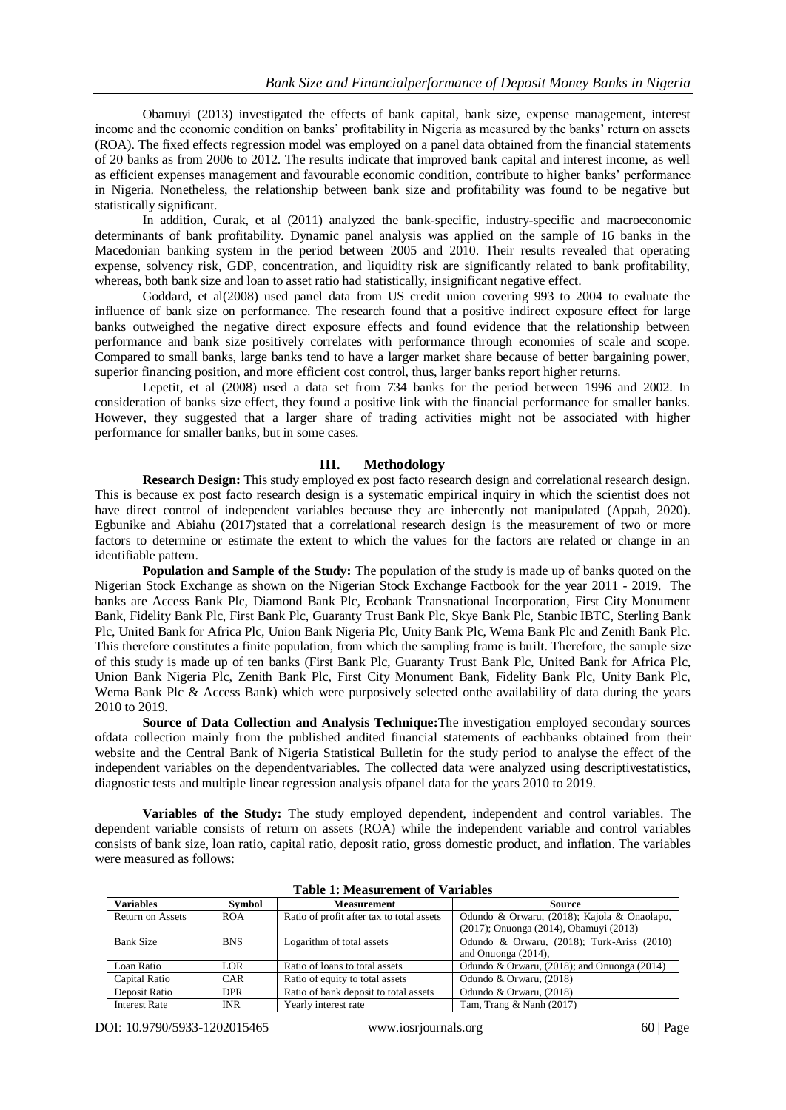Obamuyi (2013) investigated the effects of bank capital, bank size, expense management, interest income and the economic condition on banks' profitability in Nigeria as measured by the banks' return on assets (ROA). The fixed effects regression model was employed on a panel data obtained from the financial statements of 20 banks as from 2006 to 2012. The results indicate that improved bank capital and interest income, as well as efficient expenses management and favourable economic condition, contribute to higher banks' performance in Nigeria. Nonetheless, the relationship between bank size and profitability was found to be negative but statistically significant.

In addition, Curak, et al (2011) analyzed the bank-specific, industry-specific and macroeconomic determinants of bank profitability. Dynamic panel analysis was applied on the sample of 16 banks in the Macedonian banking system in the period between 2005 and 2010. Their results revealed that operating expense, solvency risk, GDP, concentration, and liquidity risk are significantly related to bank profitability, whereas, both bank size and loan to asset ratio had statistically, insignificant negative effect.

Goddard, et al(2008) used panel data from US credit union covering 993 to 2004 to evaluate the influence of bank size on performance. The research found that a positive indirect exposure effect for large banks outweighed the negative direct exposure effects and found evidence that the relationship between performance and bank size positively correlates with performance through economies of scale and scope. Compared to small banks, large banks tend to have a larger market share because of better bargaining power, superior financing position, and more efficient cost control, thus, larger banks report higher returns.

Lepetit, et al (2008) used a data set from 734 banks for the period between 1996 and 2002. In consideration of banks size effect, they found a positive link with the financial performance for smaller banks. However, they suggested that a larger share of trading activities might not be associated with higher performance for smaller banks, but in some cases.

#### **III. Methodology**

**Research Design:** This study employed ex post facto research design and correlational research design. This is because ex post facto research design is a systematic empirical inquiry in which the scientist does not have direct control of independent variables because they are inherently not manipulated (Appah, 2020). Egbunike and Abiahu (2017)stated that a correlational research design is the measurement of two or more factors to determine or estimate the extent to which the values for the factors are related or change in an identifiable pattern.

**Population and Sample of the Study:** The population of the study is made up of banks quoted on the Nigerian Stock Exchange as shown on the Nigerian Stock Exchange Factbook for the year 2011 - 2019. The banks are Access Bank Plc, Diamond Bank Plc, Ecobank Transnational Incorporation, First City Monument Bank, Fidelity Bank Plc, First Bank Plc, Guaranty Trust Bank Plc, Skye Bank Plc, Stanbic IBTC, Sterling Bank Plc, United Bank for Africa Plc, Union Bank Nigeria Plc, Unity Bank Plc, Wema Bank Plc and Zenith Bank Plc. This therefore constitutes a finite population, from which the sampling frame is built. Therefore, the sample size of this study is made up of ten banks (First Bank Plc, Guaranty Trust Bank Plc, United Bank for Africa Plc, Union Bank Nigeria Plc, Zenith Bank Plc, First City Monument Bank, Fidelity Bank Plc, Unity Bank Plc, Wema Bank Plc & Access Bank) which were purposively selected onthe availability of data during the years 2010 to 2019.

**Source of Data Collection and Analysis Technique:**The investigation employed secondary sources ofdata collection mainly from the published audited financial statements of eachbanks obtained from their website and the Central Bank of Nigeria Statistical Bulletin for the study period to analyse the effect of the independent variables on the dependentvariables. The collected data were analyzed using descriptivestatistics, diagnostic tests and multiple linear regression analysis ofpanel data for the years 2010 to 2019.

**Variables of the Study:** The study employed dependent, independent and control variables. The dependent variable consists of return on assets (ROA) while the independent variable and control variables consists of bank size, loan ratio, capital ratio, deposit ratio, gross domestic product, and inflation. The variables were measured as follows:

| <b>Variables</b>     | Symbol     | <b>Measurement</b>                        | <b>Source</b>                                    |
|----------------------|------------|-------------------------------------------|--------------------------------------------------|
| Return on Assets     | <b>ROA</b> | Ratio of profit after tax to total assets | Odundo & Orwaru, (2018); Kajola & Onaolapo,      |
|                      |            |                                           | (2017); Onuonga (2014), Obamuyi (2013)           |
| Bank Size            | <b>BNS</b> | Logarithm of total assets                 | Odundo & Orwaru, (2018); Turk-Ariss (2010)       |
|                      |            |                                           | and Onuonga (2014),                              |
| Loan Ratio           | LOR.       | Ratio of loans to total assets            | Odundo & Orwaru, $(2018)$ ; and Onuonga $(2014)$ |
| Capital Ratio        | CAR        | Ratio of equity to total assets           | Odundo & Orwaru, (2018)                          |
| Deposit Ratio        | <b>DPR</b> | Ratio of bank deposit to total assets     | Odundo & Orwaru, (2018)                          |
| <b>Interest Rate</b> | <b>INR</b> | Yearly interest rate                      | Tam, Trang & Nanh (2017)                         |

**Table 1: Measurement of Variables**

DOI: 10.9790/5933-1202015465 www.iosrjournals.org 60 | Page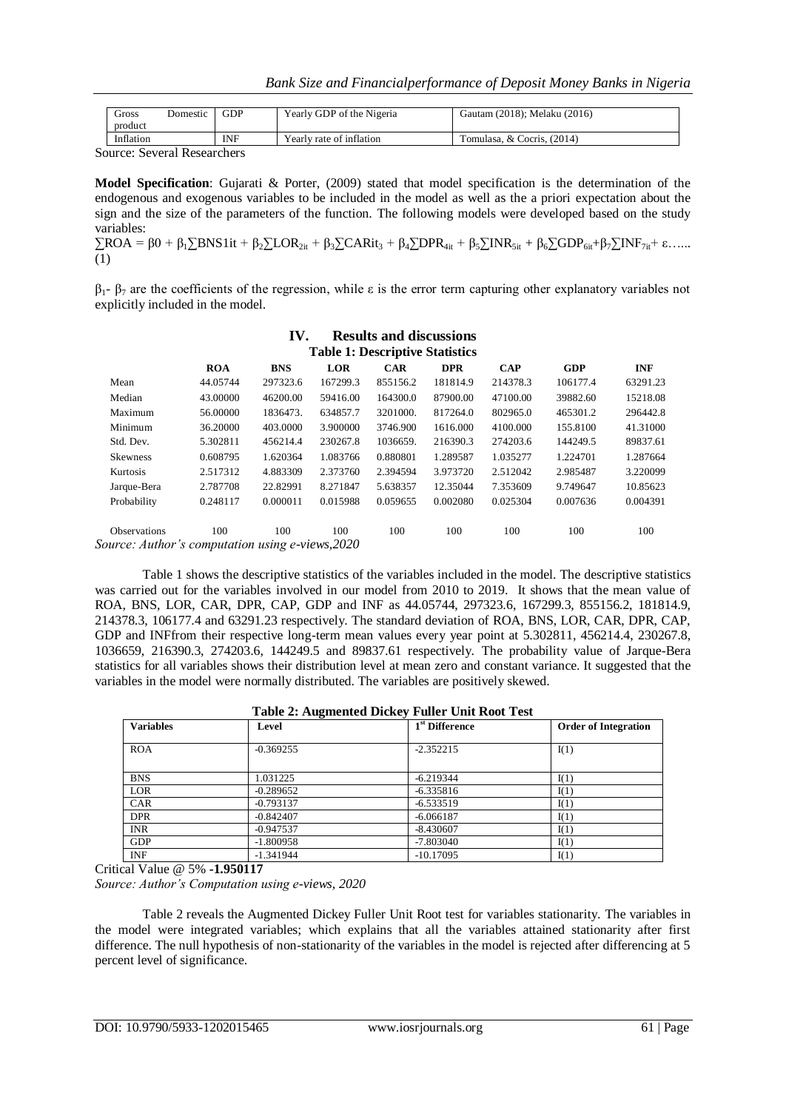| Gross<br>product | <b>GDP</b><br>Domestic | Yearly GDP of the Nigeria | Gautam (2018); Melaku (2016) |
|------------------|------------------------|---------------------------|------------------------------|
| Inflation        | INF                    | Yearly rate of inflation  | Tomulasa, & Cocris, (2014)   |

Source: Several Researchers

**Model Specification**: Gujarati & Porter, (2009) stated that model specification is the determination of the endogenous and exogenous variables to be included in the model as well as the a priori expectation about the sign and the size of the parameters of the function. The following models were developed based on the study variables:

 $\sum$ ROA = β0 + β<sub>1</sub> $\sum$ BNS1it + β<sub>2</sub> $\sum$ LOR<sub>2it</sub> + β<sub>3</sub> $\sum$ CARit<sub>3</sub> + β<sub>4</sub> $\sum$ DPR<sub>4it</sub> + β<sub>5</sub> $\sum$ INR<sub>5it</sub> + β<sub>6</sub> $\sum$ GDP<sub>6it</sub>+β<sub>7</sub> $\sum$ INF<sub>7it</sub>+ ε…… (1)

 $β_1 - β_7$  are the coefficients of the regression, while ε is the error term capturing other explanatory variables not explicitly included in the model.

|                                                  |            | IV.        |            | <b>Results and discussions</b> |            |            |            |            |
|--------------------------------------------------|------------|------------|------------|--------------------------------|------------|------------|------------|------------|
| <b>Table 1: Descriptive Statistics</b>           |            |            |            |                                |            |            |            |            |
|                                                  | <b>ROA</b> | <b>BNS</b> | <b>LOR</b> | <b>CAR</b>                     | <b>DPR</b> | <b>CAP</b> | <b>GDP</b> | <b>INF</b> |
| Mean                                             | 44.05744   | 297323.6   | 167299.3   | 855156.2                       | 181814.9   | 214378.3   | 106177.4   | 63291.23   |
| Median                                           | 43.00000   | 46200.00   | 59416.00   | 164300.0                       | 87900.00   | 47100.00   | 39882.60   | 15218.08   |
| Maximum                                          | 56,00000   | 1836473.   | 634857.7   | 3201000.                       | 817264.0   | 802965.0   | 465301.2   | 296442.8   |
| Minimum                                          | 36.20000   | 403,0000   | 3.900000   | 3746.900                       | 1616.000   | 4100.000   | 155.8100   | 41.31000   |
| Std. Dev.                                        | 5.302811   | 456214.4   | 230267.8   | 1036659.                       | 216390.3   | 274203.6   | 144249.5   | 89837.61   |
| <b>Skewness</b>                                  | 0.608795   | 1.620364   | 1.083766   | 0.880801                       | 1.289587   | 1.035277   | 1.224701   | 1.287664   |
| Kurtosis                                         | 2.517312   | 4.883309   | 2.373760   | 2.394594                       | 3.973720   | 2.512042   | 2.985487   | 3.220099   |
| Jarque-Bera                                      | 2.787708   | 22.82991   | 8.271847   | 5.638357                       | 12.35044   | 7.353609   | 9.749647   | 10.85623   |
| Probability                                      | 0.248117   | 0.000011   | 0.015988   | 0.059655                       | 0.002080   | 0.025304   | 0.007636   | 0.004391   |
| <b>Observations</b>                              | 100        | 100        | 100        | 100                            | 100        | 100        | 100        | 100        |
| Source: Author's computation using e-views, 2020 |            |            |            |                                |            |            |            |            |

Table 1 shows the descriptive statistics of the variables included in the model. The descriptive statistics was carried out for the variables involved in our model from 2010 to 2019. It shows that the mean value of ROA, BNS, LOR, CAR, DPR, CAP, GDP and INF as 44.05744, 297323.6, 167299.3, 855156.2, 181814.9, 214378.3, 106177.4 and 63291.23 respectively. The standard deviation of ROA, BNS, LOR, CAR, DPR, CAP, GDP and INFfrom their respective long-term mean values every year point at 5.302811, 456214.4, 230267.8, 1036659, 216390.3, 274203.6, 144249.5 and 89837.61 respectively. The probability value of Jarque-Bera statistics for all variables shows their distribution level at mean zero and constant variance. It suggested that the variables in the model were normally distributed. The variables are positively skewed.

| <b>Table 2: Augmented Dickey Fuller Unit Root Test</b> |             |                            |                             |  |  |  |
|--------------------------------------------------------|-------------|----------------------------|-----------------------------|--|--|--|
| <b>Variables</b>                                       | Level       | 1 <sup>st</sup> Difference | <b>Order of Integration</b> |  |  |  |
| <b>ROA</b>                                             | $-0.369255$ | $-2.352215$                | I(1)                        |  |  |  |
| <b>BNS</b>                                             | 1.031225    | $-6.219344$                | I(1)                        |  |  |  |
| <b>LOR</b>                                             | $-0.289652$ | $-6.335816$                | I(1)                        |  |  |  |
| <b>CAR</b>                                             | $-0.793137$ | $-6.533519$                | I(1)                        |  |  |  |
| <b>DPR</b>                                             | $-0.842407$ | $-6.066187$                | I(1)                        |  |  |  |
| <b>INR</b>                                             | $-0.947537$ | $-8.430607$                | I(1)                        |  |  |  |
| <b>GDP</b>                                             | $-1.800958$ | $-7.803040$                | I(1)                        |  |  |  |
| <b>INF</b>                                             | $-1.341944$ | $-10.17095$                | I(1)                        |  |  |  |

Critical Value @ 5% **-1.950117**

*Source: Author's Computation using e-views, 2020*

Table 2 reveals the Augmented Dickey Fuller Unit Root test for variables stationarity. The variables in the model were integrated variables; which explains that all the variables attained stationarity after first difference. The null hypothesis of non-stationarity of the variables in the model is rejected after differencing at 5 percent level of significance.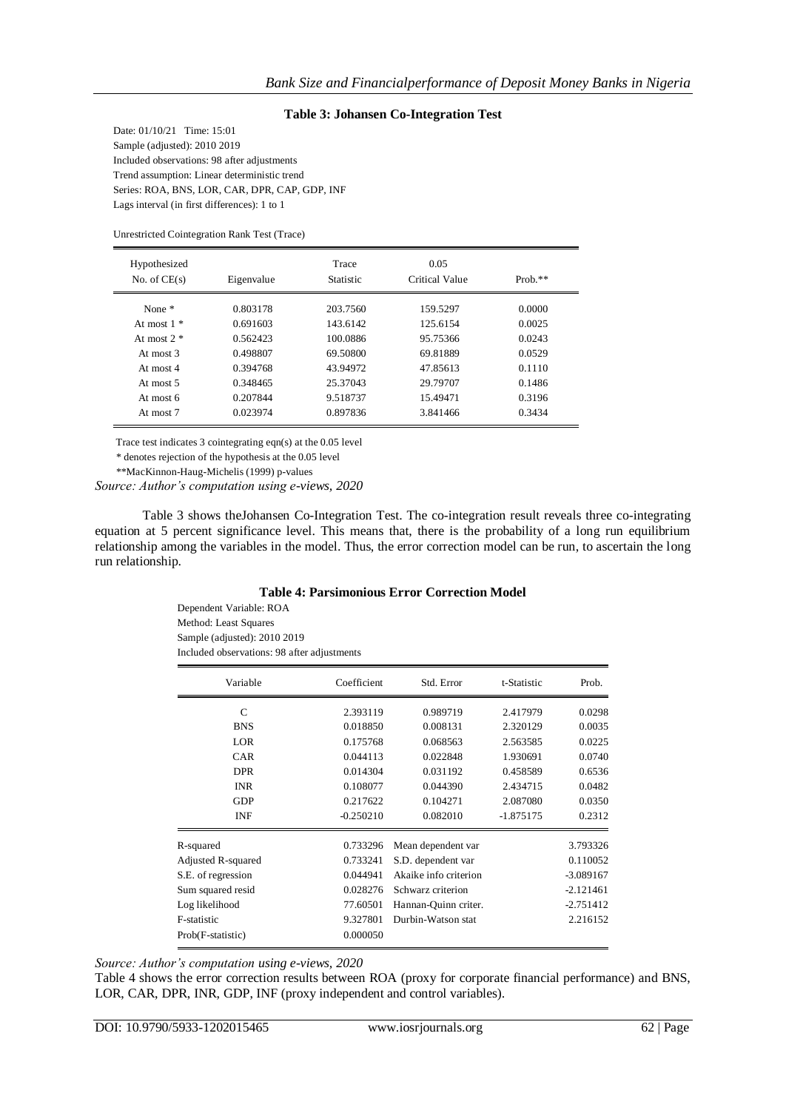#### **Table 3: Johansen Co-Integration Test**

Date: 01/10/21 Time: 15:01 Sample (adjusted): 2010 2019 Included observations: 98 after adjustments Trend assumption: Linear deterministic trend Series: ROA, BNS, LOR, CAR, DPR, CAP, GDP, INF Lags interval (in first differences): 1 to 1

Unrestricted Cointegration Rank Test (Trace)

| Hypothesized<br>No. of $CE(s)$ | Eigenvalue | Trace<br><b>Statistic</b> | 0.05<br>Critical Value | $Prob.**$ |
|--------------------------------|------------|---------------------------|------------------------|-----------|
| None $*$                       | 0.803178   | 203.7560                  | 159.5297               | 0.0000    |
| At most $1 *$                  | 0.691603   | 143.6142                  | 125.6154               | 0.0025    |
| At most $2 *$                  | 0.562423   | 100.0886                  | 95.75366               | 0.0243    |
| At most $3$                    | 0.498807   | 69.50800                  | 69.81889               | 0.0529    |
| At most $4$                    | 0.394768   | 43.94972                  | 47.85613               | 0.1110    |
| At most $5$                    | 0.348465   | 25.37043                  | 29.79707               | 0.1486    |
| At most 6                      | 0.207844   | 9.518737                  | 15.49471               | 0.3196    |
| At most 7                      | 0.023974   | 0.897836                  | 3.841466               | 0.3434    |

Trace test indicates 3 cointegrating eqn(s) at the 0.05 level

\* denotes rejection of the hypothesis at the 0.05 level

\*\*MacKinnon-Haug-Michelis (1999) p-values

*Source: Author's computation using e-views, 2020*

Table 3 shows theJohansen Co-Integration Test. The co-integration result reveals three co-integrating equation at 5 percent significance level. This means that, there is the probability of a long run equilibrium relationship among the variables in the model. Thus, the error correction model can be run, to ascertain the long run relationship.

#### **Table 4: Parsimonious Error Correction Model**

Dependent Variable: ROA Method: Least Squares Sample (adjusted): 2010 2019 Included observations: 98 after adjustments

| Variable           | Coefficient | Std. Error            | t-Statistic | Prob.       |
|--------------------|-------------|-----------------------|-------------|-------------|
| $\mathsf{C}$       | 2.393119    | 0.989719              | 2.417979    | 0.0298      |
| <b>BNS</b>         | 0.018850    | 0.008131              | 2.320129    | 0.0035      |
| LOR                | 0.175768    | 0.068563              | 2.563585    | 0.0225      |
| CAR                | 0.044113    | 0.022848              | 1.930691    | 0.0740      |
| <b>DPR</b>         | 0.014304    | 0.031192              | 0.458589    | 0.6536      |
| <b>INR</b>         | 0.108077    | 0.044390              | 2.434715    | 0.0482      |
| <b>GDP</b>         | 0.217622    | 0.104271              | 2.087080    | 0.0350      |
| INF                | $-0.250210$ | 0.082010              | $-1.875175$ | 0.2312      |
| R-squared          | 0.733296    | Mean dependent var    |             | 3.793326    |
| Adjusted R-squared | 0.733241    | S.D. dependent var    |             | 0.110052    |
| S.E. of regression | 0.044941    | Akaike info criterion |             | $-3.089167$ |
| Sum squared resid  | 0.028276    | Schwarz criterion     |             | $-2.121461$ |
| Log likelihood     | 77.60501    | Hannan-Quinn criter.  |             | $-2.751412$ |
| F-statistic        | 9.327801    | Durbin-Watson stat    |             | 2.216152    |
| Prob(F-statistic)  | 0.000050    |                       |             |             |

*Source: Author's computation using e-views, 2020*

Table 4 shows the error correction results between ROA (proxy for corporate financial performance) and BNS, LOR, CAR, DPR, INR, GDP, INF (proxy independent and control variables).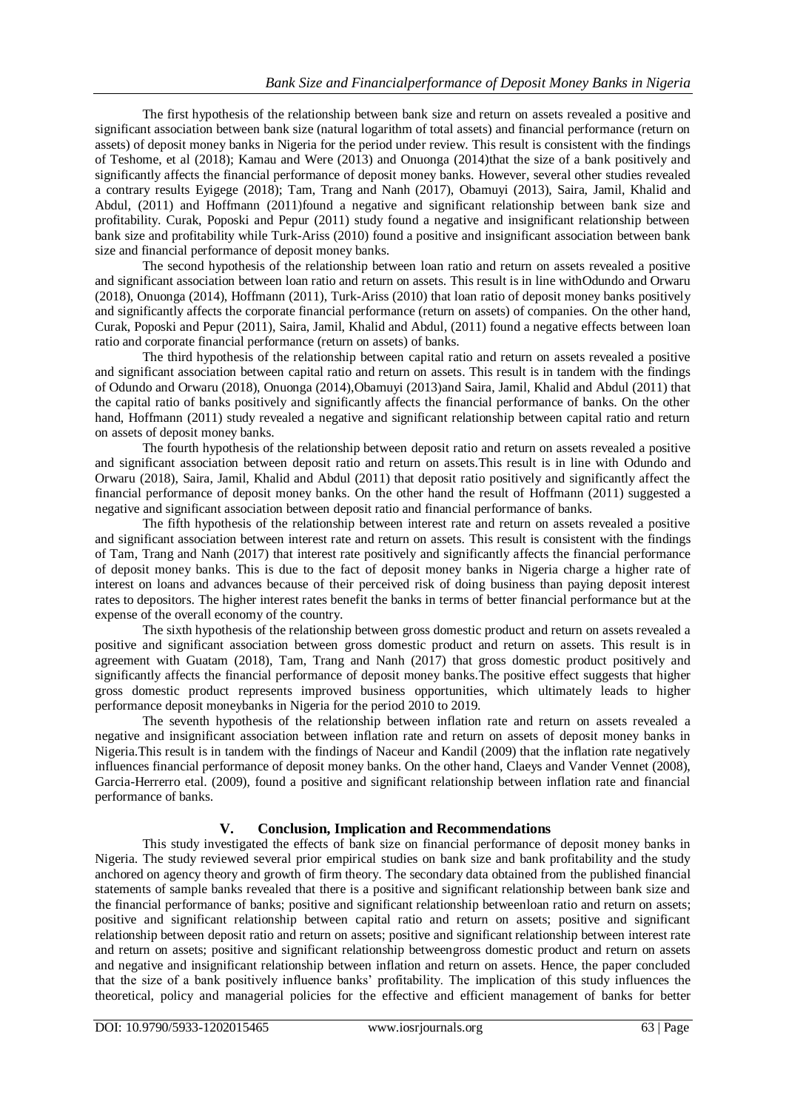The first hypothesis of the relationship between bank size and return on assets revealed a positive and significant association between bank size (natural logarithm of total assets) and financial performance (return on assets) of deposit money banks in Nigeria for the period under review. This result is consistent with the findings of Teshome, et al (2018); Kamau and Were (2013) and Onuonga (2014)that the size of a bank positively and significantly affects the financial performance of deposit money banks. However, several other studies revealed a contrary results Eyigege (2018); Tam, Trang and Nanh (2017), Obamuyi (2013), Saira, Jamil, Khalid and Abdul, (2011) and Hoffmann (2011)found a negative and significant relationship between bank size and profitability. Curak, Poposki and Pepur (2011) study found a negative and insignificant relationship between bank size and profitability while Turk-Ariss (2010) found a positive and insignificant association between bank size and financial performance of deposit money banks.

The second hypothesis of the relationship between loan ratio and return on assets revealed a positive and significant association between loan ratio and return on assets. This result is in line withOdundo and Orwaru (2018), Onuonga (2014), Hoffmann (2011), Turk-Ariss (2010) that loan ratio of deposit money banks positively and significantly affects the corporate financial performance (return on assets) of companies. On the other hand, Curak, Poposki and Pepur (2011), Saira, Jamil, Khalid and Abdul, (2011) found a negative effects between loan ratio and corporate financial performance (return on assets) of banks.

The third hypothesis of the relationship between capital ratio and return on assets revealed a positive and significant association between capital ratio and return on assets. This result is in tandem with the findings of Odundo and Orwaru (2018), Onuonga (2014),Obamuyi (2013)and Saira, Jamil, Khalid and Abdul (2011) that the capital ratio of banks positively and significantly affects the financial performance of banks. On the other hand, Hoffmann (2011) study revealed a negative and significant relationship between capital ratio and return on assets of deposit money banks.

The fourth hypothesis of the relationship between deposit ratio and return on assets revealed a positive and significant association between deposit ratio and return on assets.This result is in line with Odundo and Orwaru (2018), Saira, Jamil, Khalid and Abdul (2011) that deposit ratio positively and significantly affect the financial performance of deposit money banks. On the other hand the result of Hoffmann (2011) suggested a negative and significant association between deposit ratio and financial performance of banks.

The fifth hypothesis of the relationship between interest rate and return on assets revealed a positive and significant association between interest rate and return on assets. This result is consistent with the findings of Tam, Trang and Nanh (2017) that interest rate positively and significantly affects the financial performance of deposit money banks. This is due to the fact of deposit money banks in Nigeria charge a higher rate of interest on loans and advances because of their perceived risk of doing business than paying deposit interest rates to depositors. The higher interest rates benefit the banks in terms of better financial performance but at the expense of the overall economy of the country.

The sixth hypothesis of the relationship between gross domestic product and return on assets revealed a positive and significant association between gross domestic product and return on assets. This result is in agreement with Guatam (2018), Tam, Trang and Nanh (2017) that gross domestic product positively and significantly affects the financial performance of deposit money banks.The positive effect suggests that higher gross domestic product represents improved business opportunities, which ultimately leads to higher performance deposit moneybanks in Nigeria for the period 2010 to 2019.

The seventh hypothesis of the relationship between inflation rate and return on assets revealed a negative and insignificant association between inflation rate and return on assets of deposit money banks in Nigeria.This result is in tandem with the findings of Naceur and Kandil (2009) that the inflation rate negatively influences financial performance of deposit money banks. On the other hand, Claeys and Vander Vennet (2008), Garcia-Herrerro etal. (2009), found a positive and significant relationship between inflation rate and financial performance of banks.

## **V. Conclusion, Implication and Recommendations**

This study investigated the effects of bank size on financial performance of deposit money banks in Nigeria. The study reviewed several prior empirical studies on bank size and bank profitability and the study anchored on agency theory and growth of firm theory. The secondary data obtained from the published financial statements of sample banks revealed that there is a positive and significant relationship between bank size and the financial performance of banks; positive and significant relationship betweenloan ratio and return on assets; positive and significant relationship between capital ratio and return on assets; positive and significant relationship between deposit ratio and return on assets; positive and significant relationship between interest rate and return on assets; positive and significant relationship betweengross domestic product and return on assets and negative and insignificant relationship between inflation and return on assets. Hence, the paper concluded that the size of a bank positively influence banks' profitability. The implication of this study influences the theoretical, policy and managerial policies for the effective and efficient management of banks for better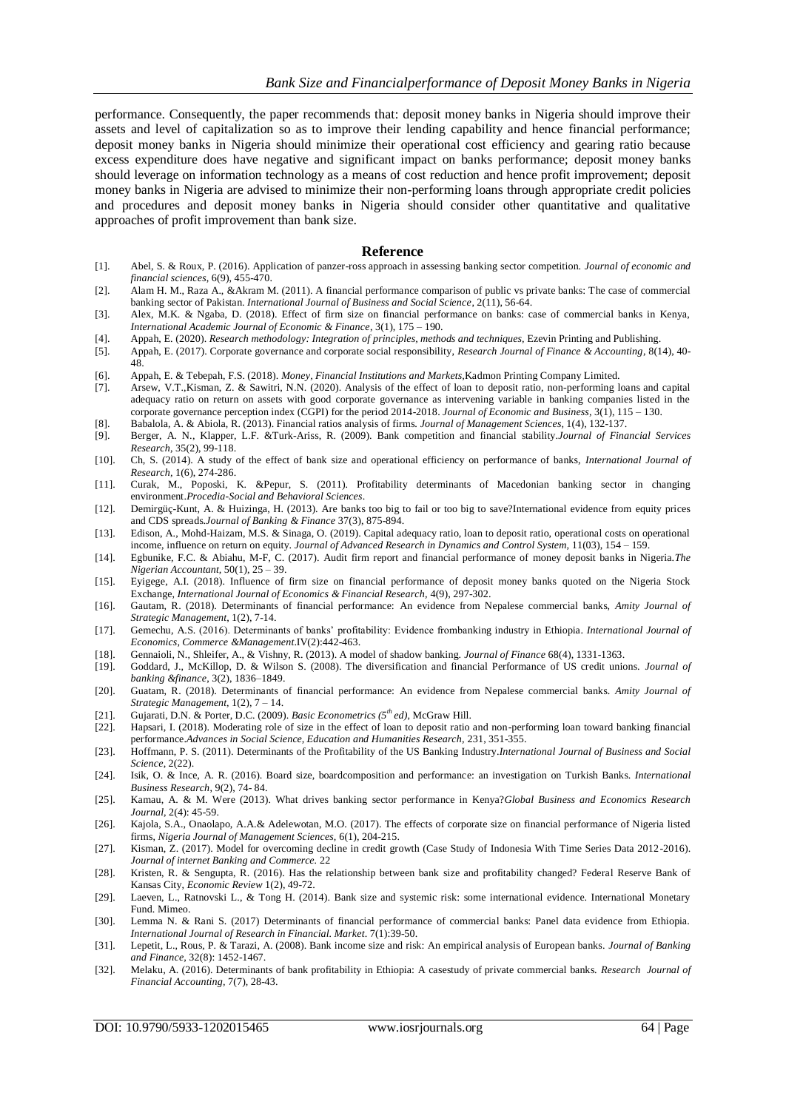performance. Consequently, the paper recommends that: deposit money banks in Nigeria should improve their assets and level of capitalization so as to improve their lending capability and hence financial performance; deposit money banks in Nigeria should minimize their operational cost efficiency and gearing ratio because excess expenditure does have negative and significant impact on banks performance; deposit money banks should leverage on information technology as a means of cost reduction and hence profit improvement; deposit money banks in Nigeria are advised to minimize their non-performing loans through appropriate credit policies and procedures and deposit money banks in Nigeria should consider other quantitative and qualitative approaches of profit improvement than bank size.

#### **Reference**

- [1]. Abel, S. & Roux, P. (2016). Application of panzer-ross approach in assessing banking sector competition. *Journal of economic and financial sciences*, 6(9), 455-470.
- [2]. Alam H. M., Raza A., &Akram M. (2011). A financial performance comparison of public vs private banks: The case of commercial banking sector of Pakistan. *International Journal of Business and Social Science*, 2(11), 56-64.
- [3]. Alex, M.K. & Ngaba, D. (2018). Effect of firm size on financial performance on banks: case of commercial banks in Kenya, *International Academic Journal of Economic & Finance*, 3(1), 175 – 190.
- [4]. Appah, E. (2020). *Research methodology: Integration of principles, methods and techniques,* Ezevin Printing and Publishing.
- [5]. Appah, E. (2017). Corporate governance and corporate social responsibility, *Research Journal of Finance & Accounting*, 8(14), 40- 48.
- [6]. Appah, E. & Tebepah, F.S. (2018). *Money, Financial Institutions and Markets,*Kadmon Printing Company Limited.
- [7]. Arsew, V.T.,Kisman, Z. & Sawitri, N.N. (2020). Analysis of the effect of loan to deposit ratio, non-performing loans and capital adequacy ratio on return on assets with good corporate governance as intervening variable in banking companies listed in the corporate governance perception index (CGPI) for the period 2014-2018. *Journal of Economic and Business,* 3(1), 115 – 130.
- [8]. Babalola, A. & Abiola, R. (2013). Financial ratios analysis of firms. *Journal of Management Sciences,* 1(4), 132-137.
- [9]. Berger, A. N., Klapper, L.F. &Turk-Ariss, R. (2009). Bank competition and financial stability.*Journal of Financial Services Research*, 35(2), 99-118.
- [10]. Ch, S. (2014). A study of the effect of bank size and operational efficiency on performance of banks, *International Journal of Research,* 1(6), 274-286.
- [11]. Curak, M., Poposki, K. &Pepur, S. (2011). Profitability determinants of Macedonian banking sector in changing environment.*Procedia-Social and Behavioral Sciences*.
- [12]. Demirgüç-Kunt, A. & Huizinga, H. (2013). Are banks too big to fail or too big to save?International evidence from equity prices and CDS spreads.*Journal of Banking & Finance* 37(3), 875-894.
- [13]. Edison, A., Mohd-Haizam, M.S. & Sinaga, O. (2019). Capital adequacy ratio, loan to deposit ratio, operational costs on operational income, influence on return on equity. *Journal of Advanced Research in Dynamics and Control System,* 11(03), 154 – 159.
- [14]. Egbunike, F.C. & Abiahu, M-F, C. (2017). Audit firm report and financial performance of money deposit banks in Nigeria.*The Nigerian Accountant,* 50(1), 25 – 39.
- [15]. Eyigege, A.I. (2018). Influence of firm size on financial performance of deposit money banks quoted on the Nigeria Stock Exchange, *International Journal of Economics & Financial Research,* 4(9), 297-302.
- [16]. Gautam, R. (2018). Determinants of financial performance: An evidence from Nepalese commercial banks, *Amity Journal of Strategic Management*, 1(2), 7-14.
- [17]. Gemechu, A.S. (2016). Determinants of banks' profitability: Evidence frombanking industry in Ethiopia. *International Journal of Economics, Commerce &Management*.IV(2):442-463.
- [18]. Gennaioli, N., Shleifer, A., & Vishny, R. (2013). A model of shadow banking. *Journal of Finance* 68(4), 1331-1363.
- [19]. Goddard, J., McKillop, D. & Wilson S. (2008). The diversification and financial Performance of US credit unions. *Journal of banking &finance*, 3(2), 1836–1849.
- [20]. Guatam, R. (2018). Determinants of financial performance: An evidence from Nepalese commercial banks. *Amity Journal of Strategic Management,* 1(2), 7 – 14.
- [21]. Gujarati, D.N. & Porter, D.C. (2009). *Basic Econometrics (5th ed)*, McGraw Hill.
- [22]. Hapsari, I. (2018). Moderating role of size in the effect of loan to deposit ratio and non-performing loan toward banking financial performance.*Advances in Social Science, Education and Humanities Research,* 231, 351-355.
- [23]. Hoffmann, P. S. (2011). Determinants of the Profitability of the US Banking Industry.*International Journal of Business and Social Science*, 2(22).
- [24]. Isik, O. & Ince, A. R. (2016). Board size, boardcomposition and performance: an investigation on Turkish Banks. *International Business Research*, 9(2), 74- 84.
- [25]. Kamau, A. & M. Were (2013). What drives banking sector performance in Kenya?*Global Business and Economics Research Journal,* 2(4): 45-59.
- [26]. Kajola, S.A., Onaolapo, A.A.& Adelewotan, M.O. (2017). The effects of corporate size on financial performance of Nigeria listed firms, *Nigeria Journal of Management Sciences,* 6(1), 204-215.
- [27]. Kisman, Z. (2017). Model for overcoming decline in credit growth (Case Study of Indonesia With Time Series Data 2012-2016). *Journal of internet Banking and Commerce.* 22
- [28]. Kristen, R. & Sengupta, R. (2016). Has the relationship between bank size and profitability changed? Federal Reserve Bank of Kansas City, *Economic Review* 1(2), 49-72.
- [29]. Laeven, L., Ratnovski L., & Tong H. (2014). Bank size and systemic risk: some international evidence. International Monetary Fund. Mimeo.
- [30]. Lemma N. & Rani S. (2017) Determinants of financial performance of commercial banks: Panel data evidence from Ethiopia. *International Journal of Research in Financial. Market*. 7(1):39-50.
- [31]. Lepetit, L., Rous, P. & Tarazi, A. (2008). Bank income size and risk: An empirical analysis of European banks. *Journal of Banking and Finance,* 32(8): 1452-1467.
- [32]. Melaku, A. (2016). Determinants of bank profitability in Ethiopia: A casestudy of private commercial banks. *Research Journal of Financial Accounting,* 7(7), 28-43.